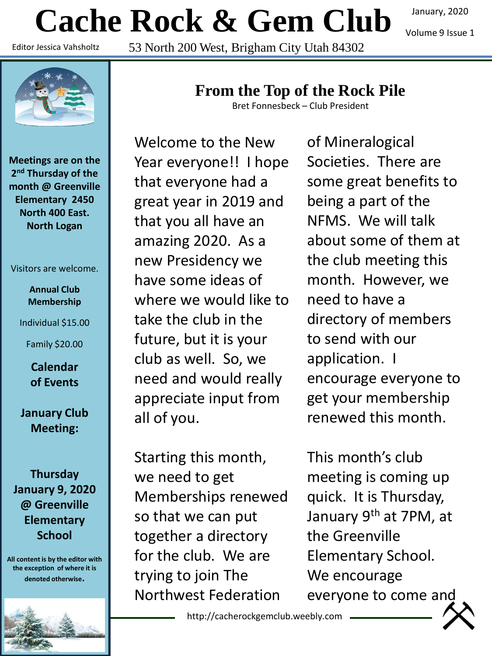# **Cache Rock & Gem Club**

Editor Jessica Vahsholtz

53 North 200 West, Brigham City Utah 84302

**Meetings are on the 2 nd Thursday of the month @ Greenville Elementary 2450 North 400 East. North Logan**

Visitors are welcome.

**Annual Club Membership** 

Individual \$15.00

Family \$20.00

**Calendar of Events**

**January Club Meeting:**

**Thursday January 9, 2020 @ Greenville Elementary School**

**All content is by the editor with the exception of where it is denoted otherwise.**

# **From the Top of the Rock Pile**

Bret Fonnesbeck – Club President

Welcome to the New Year everyone!! I hope that everyone had a great year in 2019 and that you all have an amazing 2020. As a new Presidency we have some ideas of where we would like to take the club in the future, but it is your club as well. So, we need and would really appreciate input from all of you.

Starting this month, we need to get Memberships renewed so that we can put together a directory for the club. We are trying to join The Northwest Federation

of Mineralogical Societies. There are some great benefits to being a part of the NFMS. We will talk about some of them at the club meeting this month. However, we need to have a directory of members to send with our application. I encourage everyone to get your membership renewed this month.

This month's club meeting is coming up quick. It is Thursday, January 9<sup>th</sup> at 7PM, at the Greenville Elementary School. We encourage everyone to come and

http://cacherockgemclub.weebly.com

January, 2020 Volume 9 Issue 1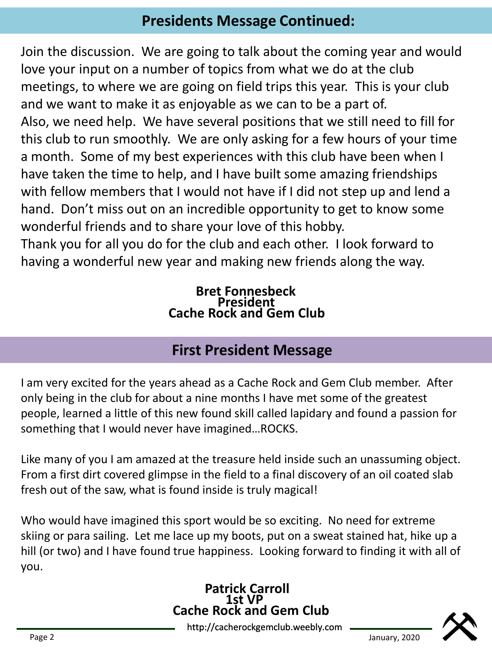# **Presidents Message Continued:**

Join the discussion. We are going to talk about the coming year and would love your input on a number of topics from what we do at the club meetings, to where we are going on field trips this year. This is your club and we want to make it as enjoyable as we can to be a part of. Also, we need help. We have several positions that we still need to fill for this club to run smoothly. We are only asking for a few hours of your time a month. Some of my best experiences with this club have been when I have taken the time to help, and I have built some amazing friendships with fellow members that I would not have if I did not step up and lend a hand. Don't miss out on an incredible opportunity to get to know some wonderful friends and to share your love of this hobby.

Thank you for all you do for the club and each other. I look forward to having a wonderful new year and making new friends along the way.

#### **Bret Fonnesbeck President Cache Rock and Gem Club**

## **First President Message**

I am very excited for the years ahead as a Cache Rock and Gem Club member. After only being in the club for about a nine months I have met some of the greatest people, learned a little of this new found skill called lapidary and found a passion for something that I would never have imagined…ROCKS.

Like many of you I am amazed at the treasure held inside such an unassuming object. From a first dirt covered glimpse in the field to a final discovery of an oil coated slab fresh out of the saw, what is found inside is truly magical!

Who would have imagined this sport would be so exciting. No need for extreme skiing or para sailing. Let me lace up my boots, put on a sweat stained hat, hike up a hill (or two) and I have found true happiness. Looking forward to finding it with all of you.

#### **Patrick Carroll 1st VP Cache Rock and Gem Club**

http://cacherockgemclub.weebly.com Page 2 January, 2020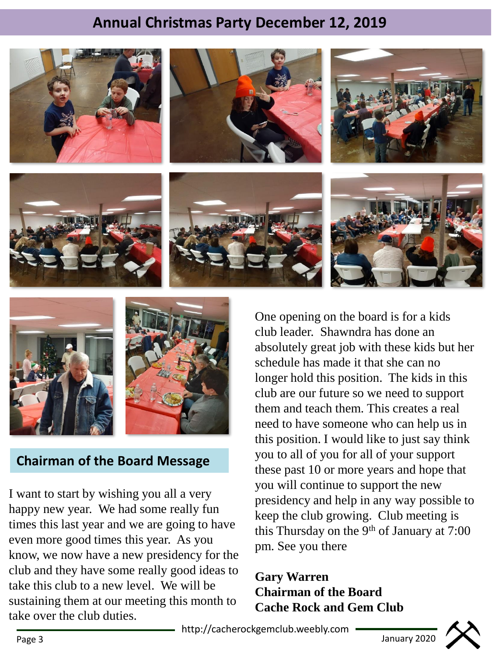# **Annual Christmas Party December 12, 2019**







#### **Chairman of the Board Message**

I want to start by wishing you all a very happy new year. We had some really fun times this last year and we are going to have even more good times this year. As you know, we now have a new presidency for the club and they have some really good ideas to take this club to a new level. We will be sustaining them at our meeting this month to take over the club duties.

One opening on the board is for a kids club leader. Shawndra has done an absolutely great job with these kids but her schedule has made it that she can no longer hold this position. The kids in this club are our future so we need to support them and teach them. This creates a real need to have someone who can help us in this position. I would like to just say think you to all of you for all of your support these past 10 or more years and hope that you will continue to support the new presidency and help in any way possible to keep the club growing. Club meeting is this Thursday on the 9<sup>th</sup> of January at  $7:00$ pm. See you there

#### **Gary Warren Chairman of the Board Cache Rock and Gem Club**

http://cacherockgemclub.weebly.com Page 3 January 2020



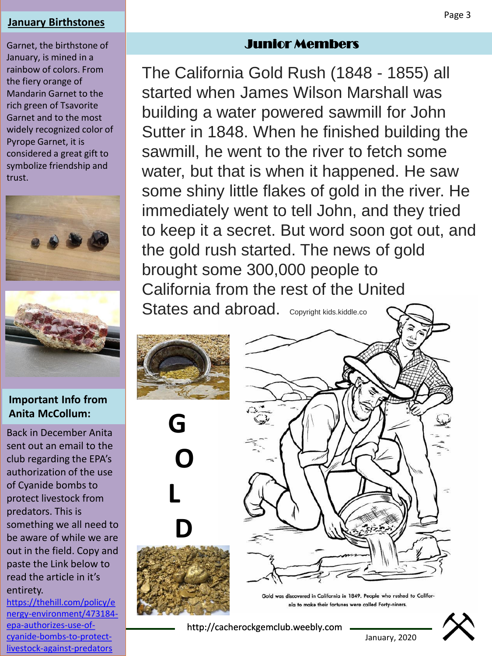#### **January Birthstones**

Garnet, the birthstone of January, is mined in a rainbow of colors. From the fiery orange of Mandarin Garnet to the rich green of Tsavorite Garnet and to the most widely recognized color of Pyrope Garnet, it is considered a great gift to symbolize friendship and trust.





#### **Important Info from Anita McCollum:**

Back in December Anita sent out an email to the club regarding the EPA's authorization of the use of Cyanide bombs to protect livestock from predators. This is something we all need to be aware of while we are out in the field. Copy and paste the Link below to read the article in it's entirety.

https://thehill.com/policy/e [nergy-environment/473184](https://thehill.com/policy/energy-environment/473184-epa-authorizes-use-of-cyanide-bombs-to-protect-livestock-against-predators) epa-authorizes-use-ofcyanide-bombs-to-protectlivestock-against-predators

#### Junior Members

The California Gold Rush (1848 - 1855) all started when James Wilson Marshall was building a water powered sawmill for John Sutter in 1848. When he finished building the sawmill, he went to the river to fetch some water, but that is when it happened. He saw some shiny little flakes of gold in the river. He immediately went to tell John, and they tried to keep it a secret. But word soon got out, and the gold rush started. The news of gold brought some 300,000 people to California from the rest of the United States and abroad. Copyright kids.kiddle.co









January, 2020

http://cacherockgemclub.weebly.com

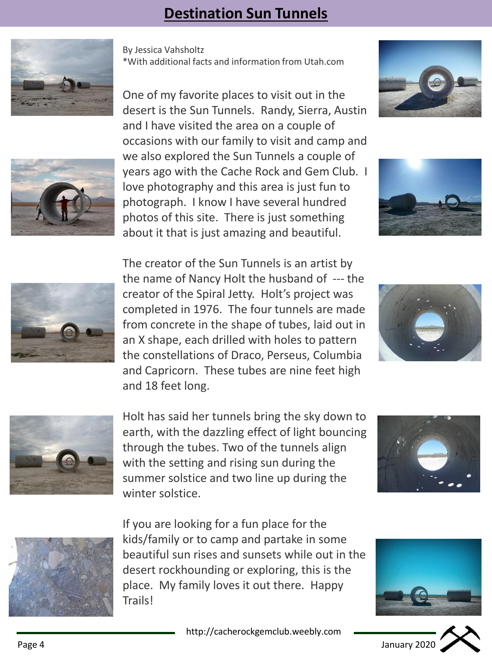# **Destination Sun Tunnels**







One of my favorite places to visit out in the desert is the Sun Tunnels. Randy, Sierra, Austin and I have visited the area on a couple of occasions with our family to visit and camp and we also explored the Sun Tunnels a couple of years ago with the Cache Rock and Gem Club. I love photography and this area is just fun to photograph. I know I have several hundred photos of this site. There is just something about it that is just amazing and beautiful.







The creator of the Sun Tunnels is an artist by the name of Nancy Holt the husband of --- the creator of the Spiral Jetty. Holt's project was completed in 1976. The four tunnels are made from concrete in the shape of tubes, laid out in an X shape, each drilled with holes to pattern the constellations of Draco, Perseus, Columbia and Capricorn. These tubes are nine feet high and 18 feet long.





Holt has said her tunnels bring the sky down to earth, with the dazzling effect of light bouncing through the tubes. Two of the tunnels align with the setting and rising sun during the summer solstice and two line up during the winter solstice.





If you are looking for a fun place for the kids/family or to camp and partake in some beautiful sun rises and sunsets while out in the desert rockhounding or exploring, this is the place. My family loves it out there. Happy Trails!



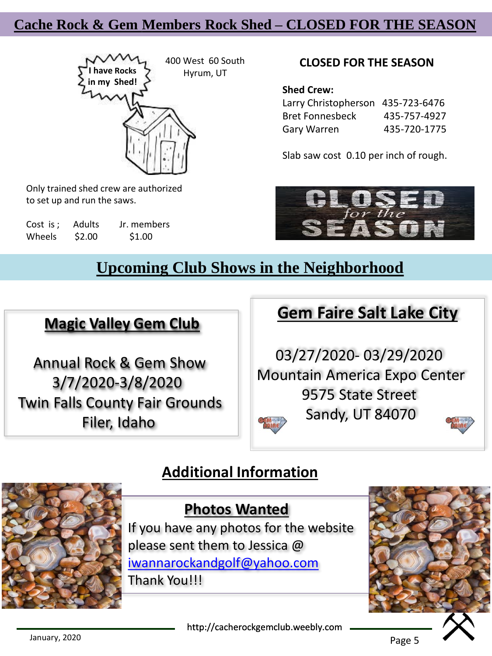## **Cache Rock & Gem Members Rock Shed – CLOSED FOR THE SEASON**



Only trained shed crew are authorized to set up and run the saws.

Cost is : Adults Jr. members Wheels \$2.00 \$1.00

#### **CLOSED FOR THE SEASON**

**Shed Crew:**

| Larry Christopherson 435-723-6476 |              |
|-----------------------------------|--------------|
| <b>Bret Fonnesbeck</b>            | 435-757-4927 |
| Gary Warren                       | 435-720-1775 |

Slab saw cost 0.10 per inch of rough.



## **Upcoming Club Shows in the Neighborhood**

#### **Magic Valley Gem Club**

Annual Rock & Gem Show 3/7/2020-3/8/2020 Twin Falls County Fair Grounds Filer, Idaho

# **Gem Faire Salt Lake City**

03/27/2020- 03/29/2020 Mountain America Expo Center 9575 State Street Sandy, UT 84070

## **Additional Information**



## **Photos Wanted**

If you have any photos for the website please sent them to Jessica @ [iwannarockandgolf@yahoo.com](mailto:iwannarockandgolf@yahoo.com) Thank You!!!



http://cacherockgemclub.weebly.com